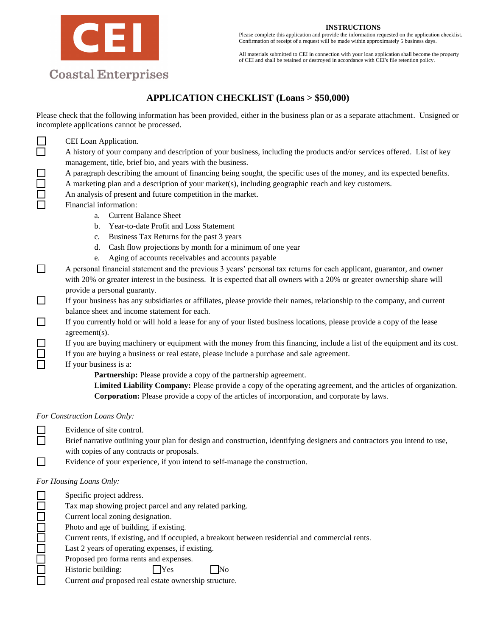#### **INSTRUCTIONS**

Please complete this application and provide the information requested on the application checklist. Confirmation of receipt of a request will be made within approximately 5 business days.

All materials submitted to CEI in connection with your loan application shall become the property of CEI and shall be retained or destroyed in accordance with CEI's file retention policy.

# **Coastal Enterprises**

CEI

# **APPLICATION CHECKLIST (Loans > \$50,000)**

Please check that the following information has been provided, either in the business plan or as a separate attachment. Unsigned or incomplete applications cannot be processed.

| $\Box$                                            | CEI Loan Application.                                                                                                      |
|---------------------------------------------------|----------------------------------------------------------------------------------------------------------------------------|
|                                                   | A history of your company and description of your business, including the products and/or services offered. List of key    |
|                                                   | management, title, brief bio, and years with the business.                                                                 |
|                                                   | A paragraph describing the amount of financing being sought, the specific uses of the money, and its expected benefits.    |
|                                                   | A marketing plan and a description of your market(s), including geographic reach and key customers.                        |
| 88<br>88<br>88                                    | An analysis of present and future competition in the market.                                                               |
|                                                   | Financial information:                                                                                                     |
|                                                   | <b>Current Balance Sheet</b><br>a.                                                                                         |
|                                                   | Year-to-date Profit and Loss Statement<br>$\mathbf{b}$ .                                                                   |
|                                                   | Business Tax Returns for the past 3 years<br>c.                                                                            |
|                                                   | Cash flow projections by month for a minimum of one year<br>d.                                                             |
|                                                   | Aging of accounts receivables and accounts payable<br>e.                                                                   |
| $\Box$                                            | A personal financial statement and the previous 3 years' personal tax returns for each applicant, guarantor, and owner     |
|                                                   | with 20% or greater interest in the business. It is expected that all owners with a 20% or greater ownership share will    |
|                                                   | provide a personal guaranty.                                                                                               |
| $\Box$                                            | If your business has any subsidiaries or affiliates, please provide their names, relationship to the company, and current  |
|                                                   | balance sheet and income statement for each.                                                                               |
| $\Box$                                            | If you currently hold or will hold a lease for any of your listed business locations, please provide a copy of the lease   |
|                                                   | agreement(s).                                                                                                              |
|                                                   | If you are buying machinery or equipment with the money from this financing, include a list of the equipment and its cost. |
|                                                   | If you are buying a business or real estate, please include a purchase and sale agreement.                                 |
| $\begin{array}{c} \square \\ \square \end{array}$ | If your business is a:                                                                                                     |
|                                                   | Partnership: Please provide a copy of the partnership agreement.                                                           |
|                                                   | Limited Liability Company: Please provide a copy of the operating agreement, and the articles of organization.             |
|                                                   | <b>Corporation:</b> Please provide a copy of the articles of incorporation, and corporate by laws.                         |
|                                                   | For Construction Loans Only:                                                                                               |
|                                                   | Evidence of site control.                                                                                                  |
| $\Box$                                            | Brief narrative outlining your plan for design and construction, identifying designers and contractors you intend to use,  |
|                                                   | with copies of any contracts or proposals.                                                                                 |

 $\Box$ Evidence of your experience, if you intend to self-manage the construction.

#### *For Housing Loans Only:*

Specific project address.

Tax map showing project parcel and any related parking.

- 00000000 Current local zoning designation.
	- Photo and age of building, if existing.
	- Current rents, if existing, and if occupied, a breakout between residential and commercial rents.

Last 2 years of operating expenses, if existing.

Proposed pro forma rents and expenses.

Historic building:  $\Box$  Yes  $\Box$  No

Current *and* proposed real estate ownership structure.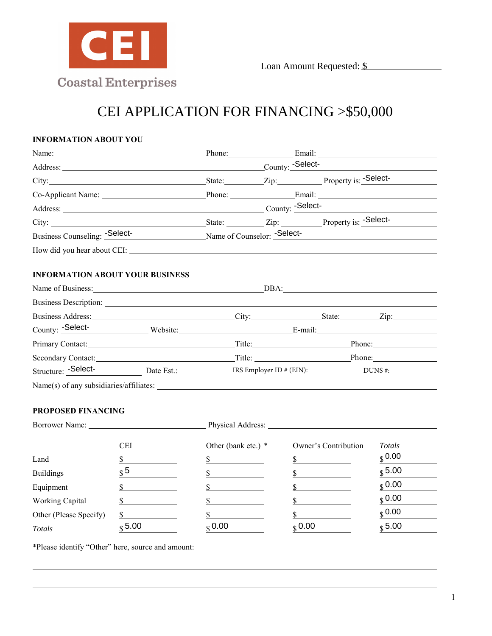

# **INFORMATION ABOUT YOU**

|                                                                                                                                                                                                                                                                                                                                                                                                                                                                                                                                                                 | Loan Amount Requested: \$               |                     |  |                      |                    |
|-----------------------------------------------------------------------------------------------------------------------------------------------------------------------------------------------------------------------------------------------------------------------------------------------------------------------------------------------------------------------------------------------------------------------------------------------------------------------------------------------------------------------------------------------------------------|-----------------------------------------|---------------------|--|----------------------|--------------------|
|                                                                                                                                                                                                                                                                                                                                                                                                                                                                                                                                                                 | <b>Coastal Enterprises</b>              |                     |  |                      |                    |
|                                                                                                                                                                                                                                                                                                                                                                                                                                                                                                                                                                 | CEI APPLICATION FOR FINANCING >\$50,000 |                     |  |                      |                    |
| <b>INFORMATION ABOUT YOU</b>                                                                                                                                                                                                                                                                                                                                                                                                                                                                                                                                    |                                         |                     |  |                      |                    |
| Name:                                                                                                                                                                                                                                                                                                                                                                                                                                                                                                                                                           |                                         |                     |  | Phone: Email: Email: |                    |
| Address: County: -Select-                                                                                                                                                                                                                                                                                                                                                                                                                                                                                                                                       |                                         |                     |  |                      |                    |
|                                                                                                                                                                                                                                                                                                                                                                                                                                                                                                                                                                 |                                         |                     |  |                      |                    |
| Co-Applicant Name: Phone: Phone: Email: Email:                                                                                                                                                                                                                                                                                                                                                                                                                                                                                                                  |                                         |                     |  |                      |                    |
| Address: County: Select-                                                                                                                                                                                                                                                                                                                                                                                                                                                                                                                                        |                                         |                     |  |                      |                    |
| City: <u>City:</u> State: <u>City:</u> Zip: Property is: -Select-                                                                                                                                                                                                                                                                                                                                                                                                                                                                                               |                                         |                     |  |                      |                    |
| Business Counseling: -Select-<br>Name of Counselor: -Select-<br>Name of Counselor: -Select-                                                                                                                                                                                                                                                                                                                                                                                                                                                                     |                                         |                     |  |                      |                    |
| How did you hear about CEI: New York COME SERVICE OF THE SERVICE OF THE SERVICE OF THE SERVICE OF THE SERVICE OF THE SERVICE OF THE SERVICE OF THE SERVICE OF THE SERVICE OF THE SERVICE OF THE SERVICE OF THE SERVICE OF THE                                                                                                                                                                                                                                                                                                                                   |                                         |                     |  |                      |                    |
| <b>INFORMATION ABOUT YOUR BUSINESS</b><br>Business Description: <u>contract and the contract of the contract of the contract of the contract of the contract of the contract of the contract of the contract of the contract of the contract of the contract of the contra</u><br>County: Select-<br>Website: E-mail: E-mail:<br>Primary Contact: Phone: Phone: Phone: Phone: Phone: Phone: Phone: Phone: Phone: Phone: Phone: Phone: Phone: Phone: Phone: Phone: Phone: Phone: Phone: Phone: Phone: Phone: Phone: Phone: Phone: Phone: Phone: Phone: Phone: Ph |                                         |                     |  |                      |                    |
| Secondary Contact: Phone: Phone: Phone: Phone: Phone: Phone: Phone: Phone: Phone: Phone: Phone: Phone: Phone: Phone: Phone: Phone: Phone: Phone: Phone: Phone: Phone: Phone: Phone: Phone: Phone: Phone: Phone: Phone: Phone:                                                                                                                                                                                                                                                                                                                                   |                                         |                     |  |                      |                    |
|                                                                                                                                                                                                                                                                                                                                                                                                                                                                                                                                                                 |                                         |                     |  |                      |                    |
|                                                                                                                                                                                                                                                                                                                                                                                                                                                                                                                                                                 |                                         |                     |  |                      |                    |
| <b>PROPOSED FINANCING</b><br>Borrower Name:                                                                                                                                                                                                                                                                                                                                                                                                                                                                                                                     |                                         | Physical Address:   |  |                      |                    |
|                                                                                                                                                                                                                                                                                                                                                                                                                                                                                                                                                                 | <b>CEI</b>                              | Other (bank etc.) * |  | Owner's Contribution | <b>Totals</b>      |
| Land                                                                                                                                                                                                                                                                                                                                                                                                                                                                                                                                                            | \$                                      | \$                  |  | \$                   | S <sub>0.00</sub>  |
| <b>Buildings</b>                                                                                                                                                                                                                                                                                                                                                                                                                                                                                                                                                | $\sqrt{5}$                              | \$                  |  | \$                   | $\frac{1}{3}$ 5.00 |
| Equipment                                                                                                                                                                                                                                                                                                                                                                                                                                                                                                                                                       |                                         | \$                  |  | \$                   | $S$ 0.00           |
| <b>Working Capital</b>                                                                                                                                                                                                                                                                                                                                                                                                                                                                                                                                          | \$                                      | \$                  |  | \$                   | \$0.00             |
| Other (Please Specify)                                                                                                                                                                                                                                                                                                                                                                                                                                                                                                                                          | \$                                      | \$                  |  | \$                   | $S$ 0.00           |
| Totals                                                                                                                                                                                                                                                                                                                                                                                                                                                                                                                                                          | $\sqrt{5.00}$                           | \$0.00\$            |  | \$0.00\$             | $\frac{1}{3}$ 5.00 |

#### **PROPOSED FINANCING**

| Borrower Name:         |                    | Physical Address: ______ |                      |                     |
|------------------------|--------------------|--------------------------|----------------------|---------------------|
|                        | <b>CEI</b>         | Other (bank etc.) *      | Owner's Contribution | Totals              |
| Land                   |                    |                          |                      | $S^{0.00}$          |
| <b>Buildings</b>       | c 5                |                          |                      | $S$ 5.00            |
| Equipment              |                    |                          |                      | $\binom{6}{3}$ 0.00 |
| <b>Working Capital</b> |                    |                          |                      | $S$ 0.00            |
| Other (Please Specify) |                    |                          |                      | $S$ 0.00            |
| Totals                 | $\frac{1}{3}$ 5.00 | $\sqrt{6}$ 0.00          | $\S$ 0.00            | $\frac{1}{3}$ 5.00  |

\*Please identify "Other" here, source and amount: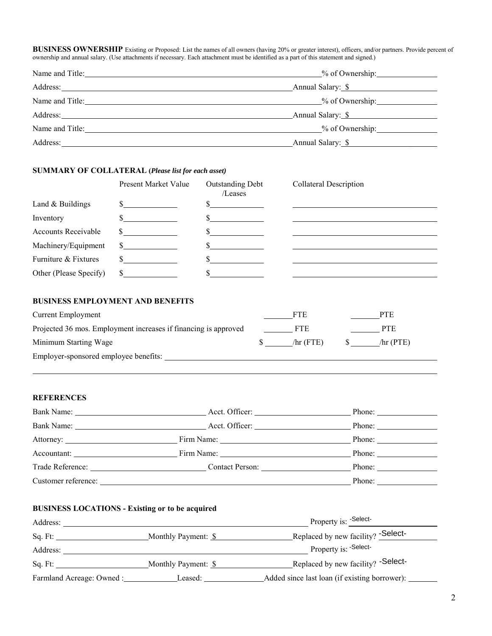**BUSINESS OWNERSHIP** Existing or Proposed: List the names of all owners (having 20% or greater interest), officers, and/or partners. Provide percent of ownership and annual salary. (Use attachments if necessary. Each attachment must be identified as a part of this statement and signed.)

|                 | % of Ownership:   |  |
|-----------------|-------------------|--|
| Address:        | Annual Salary: \$ |  |
| Name and Title: |                   |  |
|                 | Annual Salary: \$ |  |
| Name and Title: | $%$ of Ownership: |  |
| Address:        | Annual Salary: \$ |  |

#### **SUMMARY OF COLLATERAL (***Please list for each asset)*

|                            | Present Market Value | <b>Outstanding Debt</b><br>/Leases | Collateral Description |
|----------------------------|----------------------|------------------------------------|------------------------|
| Land & Buildings           |                      |                                    |                        |
| Inventory                  |                      |                                    |                        |
| <b>Accounts Receivable</b> |                      |                                    |                        |
| Machinery/Equipment        | $\mathbb{S}$         |                                    |                        |
| Furniture & Fixtures       | \$                   |                                    |                        |
| Other (Please Specify)     | \$                   |                                    |                        |
|                            |                      |                                    |                        |

# **BUSINESS EMPLOYMENT AND BENEFITS**

| Current Employment                                              | FTE         | PTE         |
|-----------------------------------------------------------------|-------------|-------------|
| Projected 36 mos. Employment increases if financing is approved | FTE         | PTE         |
| Minimum Starting Wage                                           | $\pi$ (FTE) | $\pi$ (PTE) |
| Employer-sponsored employee benefits:                           |             |             |

### **REFERENCES**

|                     |                 | Phone: $\qquad \qquad$ |
|---------------------|-----------------|------------------------|
| Bank Name:          |                 | Phone: $\qquad \qquad$ |
|                     |                 |                        |
|                     |                 | Phone:                 |
| Trade Reference:    | Contact Person: | Phone:                 |
| Customer reference: |                 | Phone:                 |

## **BUSINESS LOCATIONS - Existing or to be acquired**

| Address:                  |                     | Property is: -Select-                         |
|---------------------------|---------------------|-----------------------------------------------|
| Sq. Ft:                   | Monthly Payment: \$ | Replaced by new facility? - Select-           |
| Address:                  |                     | Property is: -Select-                         |
| Sq. Ft:                   | Monthly Payment: \$ | Replaced by new facility? - Select-           |
| Farmland Acreage: Owned : | Leased:             | Added since last loan (if existing borrower): |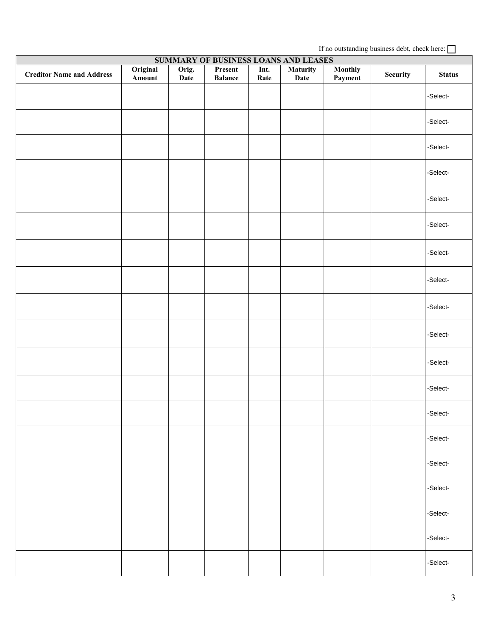If no outstanding business debt, check here: **SUMMARY OF BUSINESS LOANS AND LEASES Creditor Name and Address Amount Orig. Date Present Balance Int. Rate Maturity Date Monthly Payment Security Status** -Select- -Select- -Select- -Select- -Select- -Select- -Select- -Select- -Select- -Select- -Select- -Select- -Select- -Select- -Select- -Select- -Select- -Select- -Select-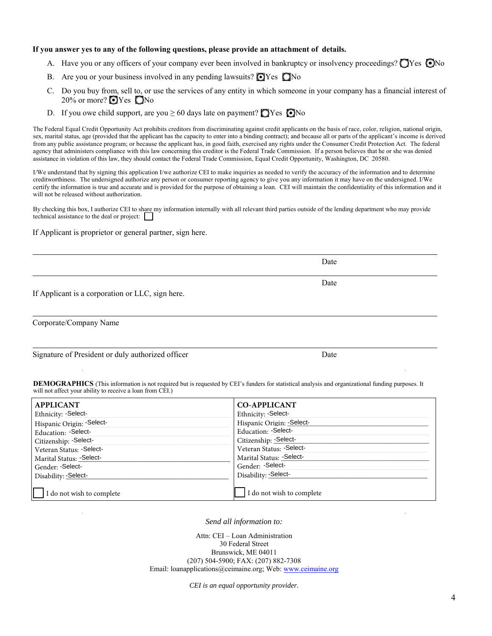#### **If you answer yes to any of the following questions, please provide an attachment of details.**

- A. Have you or any officers of your company ever been involved in bankruptcy or insolvency proceedings?  $\bigcirc$  Yes  $\bigcirc$  No
- B. Are you or your business involved in any pending lawsuits?  $\bigcirc$  Yes  $\bigcirc$  No
- C. Do you buy from, sell to, or use the services of any entity in which someone in your company has a financial interest of 20% or more?  $\bigcirc$  Yes  $\bigcirc$  No
- D. If you owe child support, are you  $\geq 60$  days late on payment?  $\Box$  Yes  $\Box$  No

The Federal Equal Credit Opportunity Act prohibits creditors from discriminating against credit applicants on the basis of race, color, religion, national origin, sex, marital status, age (provided that the applicant has the capacity to enter into a binding contract); and because all or parts of the applicant's income is derived from any public assistance program; or because the applicant has, in good faith, exercised any rights under the Consumer Credit Protection Act. The federal agency that administers compliance with this law concerning this creditor is the Federal Trade Commission. If a person believes that he or she was denied assistance in violation of this law, they should contact the Federal Trade Commission, Equal Credit Opportunity, Washington, DC 20580.

I/We understand that by signing this application I/we authorize CEI to make inquiries as needed to verify the accuracy of the information and to determine creditworthiness. The undersigned authorize any person or consumer reporting agency to give you any information it may have on the undersigned. I/We certify the information is true and accurate and is provided for the purpose of obtaining a loan. CEI will maintain the confidentiality of this information and it will not be released without authorization.

By checking this box, I authorize CEI to share my information internally with all relevant third parties outside of the lending department who may provide technical assistance to the deal or project:

Date

Date

If Applicant is proprietor or general partner, sign here.

|  | If Applicant is a corporation or LLC, sign here. |
|--|--------------------------------------------------|
|  |                                                  |

Corporate/Company Name

| Signature of President or duly authorized officer | Date |
|---------------------------------------------------|------|
|---------------------------------------------------|------|

**DEMOGRAPHICS** (This information is not required but is requested by CEI's funders for statistical analysis and organizational funding purposes. It will not affect your ability to receive a loan from CEI.)

| <b>APPLICANT</b>          | <b>CO-APPLICANT</b>        |
|---------------------------|----------------------------|
| Ethnicity: - Select-      | Ethnicity: - Select-       |
| Hispanic Origin: Select-  | Hispanic Origin: - Select- |
| Education: - Select-      | Education: Select-         |
| Citizenship: - Select-    | Citizenship: - Select-     |
| Veteran Status: - Select- | Veteran Status: - Select-  |
| Marital Status: - Select- | Marital Status: - Select-  |
| Gender: - Select-         | Gender: - Select-          |
| Disability: - Select-     | Disability: - Select-      |
| I do not wish to complete | I do not wish to complete  |

*Send all information to:*

Attn: CEI – Loan Administration 30 Federal Street Brunswick, ME 04011 (207) 504-5900; FAX: (207) 882-7308 Email: loanapplications@ceimaine.org; Web: [www.ceimaine.org](http://www.ceimaine.org/)

*CEI is an equal opportunity provider.*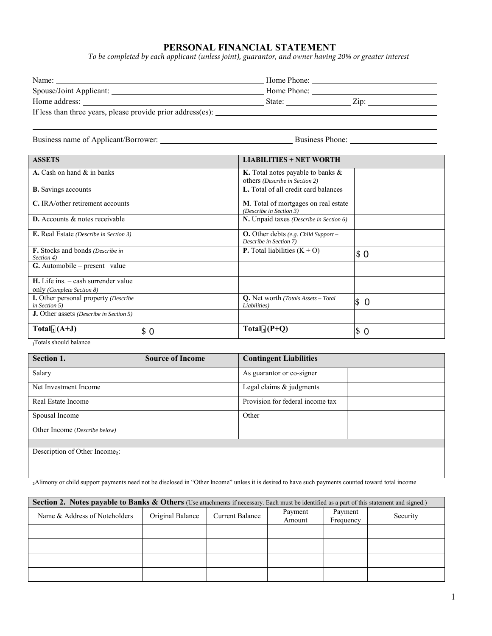# **PERSONAL FINANCIAL STATEMENT**

*To be completed by each applicant (unless joint), guarantor, and owner having 20% or greater interest*

| Name:                                                       | Home Phone:    |
|-------------------------------------------------------------|----------------|
| Spouse/Joint Applicant:                                     | Home Phone:    |
| Home address:                                               | State:<br>Zip: |
| If less than three years, please provide prior address(es): |                |

Business name of Applicant/Borrower: Business Phone: Business Phone: Business Phone:

| <b>ASSETS</b>                                                        | <b>LIABILITIES + NET WORTH</b> |                                                                         |     |
|----------------------------------------------------------------------|--------------------------------|-------------------------------------------------------------------------|-----|
| A. Cash on hand & in banks                                           |                                | K. Total notes payable to banks &<br>others (Describe in Section 2)     |     |
| <b>B.</b> Savings accounts                                           |                                | L. Total of all credit card balances                                    |     |
| C. IRA/other retirement accounts                                     |                                | <b>M</b> . Total of mortgages on real estate<br>(Describe in Section 3) |     |
| <b>D.</b> Accounts & notes receivable                                |                                | N. Unpaid taxes (Describe in Section 6)                                 |     |
| <b>E.</b> Real Estate (Describe in Section 3)                        |                                | <b>O.</b> Other debts (e.g. Child Support $-$<br>Describe in Section 7) |     |
| <b>F.</b> Stocks and bonds (Describe in<br>Section 4)                |                                | <b>P.</b> Total liabilities $(K + O)$                                   | \$0 |
| G. Automobile – present value                                        |                                |                                                                         |     |
| $H.$ Life ins. $-$ cash surrender value<br>only (Complete Section 8) |                                |                                                                         |     |
| <b>I.</b> Other personal property (Describe<br>in Section 5)         |                                | <b>Q.</b> Net worth (Totals Assets - Total<br>Liabilities)              | \$0 |
| <b>J.</b> Other assets <i>(Describe in Section 5)</i>                |                                |                                                                         |     |
| Total $(A+J)$                                                        | IS 0                           | Total $_1(P+Q)$                                                         | \$0 |

#### ₁Totals should balance

| Section 1.                                 | <b>Source of Income</b> | <b>Contingent Liabilities</b>    |
|--------------------------------------------|-------------------------|----------------------------------|
| Salary                                     |                         | As guarantor or co-signer        |
| Net Investment Income                      |                         | Legal claims $\&$ judgments      |
| Real Estate Income                         |                         | Provision for federal income tax |
| Spousal Income                             |                         | Other                            |
| Other Income (Describe below)              |                         |                                  |
|                                            |                         |                                  |
| Description of Other Income <sub>2</sub> : |                         |                                  |

₂Alimony or child support payments need not be disclosed in "Other Income" unless it is desired to have such payments counted toward total income

| <b>Section 2.</b> Notes payable to Banks & Others (Use attachments if necessary. Each must be identified as a part of this statement and signed.) |                  |                        |                   |                      |          |
|---------------------------------------------------------------------------------------------------------------------------------------------------|------------------|------------------------|-------------------|----------------------|----------|
| Name & Address of Noteholders                                                                                                                     | Original Balance | <b>Current Balance</b> | Payment<br>Amount | Payment<br>Frequency | Security |
|                                                                                                                                                   |                  |                        |                   |                      |          |
|                                                                                                                                                   |                  |                        |                   |                      |          |
|                                                                                                                                                   |                  |                        |                   |                      |          |
|                                                                                                                                                   |                  |                        |                   |                      |          |